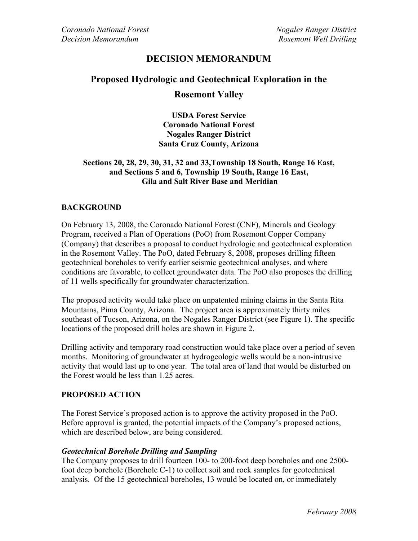## **DECISION MEMORANDUM**

# **Proposed Hydrologic and Geotechnical Exploration in the Rosemont Valley**

**USDA Forest Service Coronado National Forest Nogales Ranger District Santa Cruz County, Arizona** 

#### **Sections 20, 28, 29, 30, 31, 32 and 33,Township 18 South, Range 16 East, and Sections 5 and 6, Township 19 South, Range 16 East, Gila and Salt River Base and Meridian**

#### **BACKGROUND**

On February 13, 2008, the Coronado National Forest (CNF), Minerals and Geology Program, received a Plan of Operations (PoO) from Rosemont Copper Company (Company) that describes a proposal to conduct hydrologic and geotechnical exploration in the Rosemont Valley. The PoO, dated February 8, 2008, proposes drilling fifteen geotechnical boreholes to verify earlier seismic geotechnical analyses, and where conditions are favorable, to collect groundwater data. The PoO also proposes the drilling of 11 wells specifically for groundwater characterization.

The proposed activity would take place on unpatented mining claims in the Santa Rita Mountains, Pima County, Arizona. The project area is approximately thirty miles southeast of Tucson, Arizona, on the Nogales Ranger District (see Figure 1). The specific locations of the proposed drill holes are shown in Figure 2.

Drilling activity and temporary road construction would take place over a period of seven months. Monitoring of groundwater at hydrogeologic wells would be a non-intrusive activity that would last up to one year. The total area of land that would be disturbed on the Forest would be less than 1.25 acres.

#### **PROPOSED ACTION**

The Forest Service's proposed action is to approve the activity proposed in the PoO. Before approval is granted, the potential impacts of the Company's proposed actions, which are described below, are being considered.

#### *Geotechnical Borehole Drilling and Sampling*

The Company proposes to drill fourteen 100- to 200-foot deep boreholes and one 2500 foot deep borehole (Borehole C-1) to collect soil and rock samples for geotechnical analysis. Of the 15 geotechnical boreholes, 13 would be located on, or immediately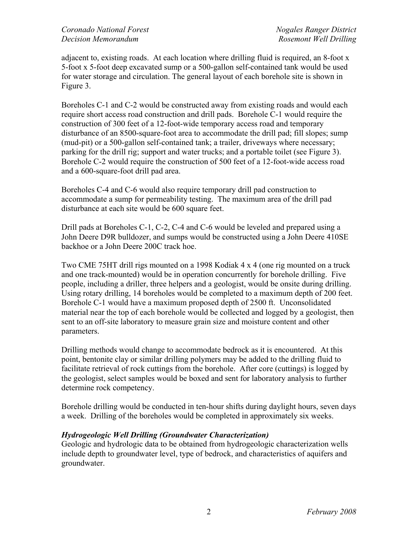adjacent to, existing roads. At each location where drilling fluid is required, an 8-foot x 5-foot x 5-foot deep excavated sump or a 500-gallon self-contained tank would be used for water storage and circulation. The general layout of each borehole site is shown in Figure 3.

Boreholes C-1 and C-2 would be constructed away from existing roads and would each require short access road construction and drill pads. Borehole C-1 would require the construction of 300 feet of a 12-foot-wide temporary access road and temporary disturbance of an 8500-square-foot area to accommodate the drill pad; fill slopes; sump (mud-pit) or a 500-gallon self-contained tank; a trailer, driveways where necessary; parking for the drill rig; support and water trucks; and a portable toilet (see Figure 3). Borehole C-2 would require the construction of 500 feet of a 12-foot-wide access road and a 600-square-foot drill pad area.

Boreholes C-4 and C-6 would also require temporary drill pad construction to accommodate a sump for permeability testing. The maximum area of the drill pad disturbance at each site would be 600 square feet.

Drill pads at Boreholes C-1, C-2, C-4 and C-6 would be leveled and prepared using a John Deere D9R bulldozer, and sumps would be constructed using a John Deere 410SE backhoe or a John Deere 200C track hoe.

Two CME 75HT drill rigs mounted on a 1998 Kodiak 4 x 4 (one rig mounted on a truck and one track-mounted) would be in operation concurrently for borehole drilling. Five people, including a driller, three helpers and a geologist, would be onsite during drilling. Using rotary drilling, 14 boreholes would be completed to a maximum depth of 200 feet. Borehole C-1 would have a maximum proposed depth of 2500 ft. Unconsolidated material near the top of each borehole would be collected and logged by a geologist, then sent to an off-site laboratory to measure grain size and moisture content and other parameters.

Drilling methods would change to accommodate bedrock as it is encountered. At this point, bentonite clay or similar drilling polymers may be added to the drilling fluid to facilitate retrieval of rock cuttings from the borehole. After core (cuttings) is logged by the geologist, select samples would be boxed and sent for laboratory analysis to further determine rock competency.

Borehole drilling would be conducted in ten-hour shifts during daylight hours, seven days a week. Drilling of the boreholes would be completed in approximately six weeks.

### *Hydrogeologic Well Drilling (Groundwater Characterization)*

Geologic and hydrologic data to be obtained from hydrogeologic characterization wells include depth to groundwater level, type of bedrock, and characteristics of aquifers and groundwater.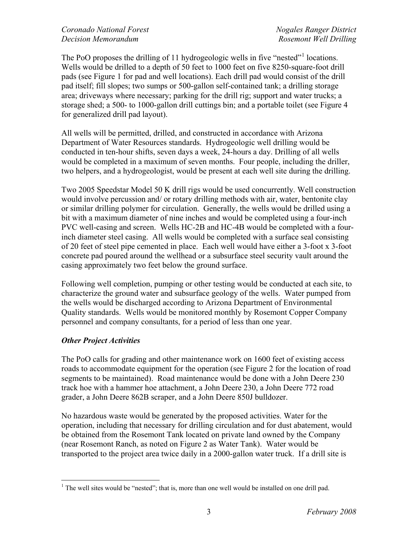The PoO proposes the drilling of [1](#page-2-0)1 hydrogeologic wells in five "nested"<sup>1</sup> locations. Wells would be drilled to a depth of 50 feet to 1000 feet on five 8250-square-foot drill pads (see Figure 1 for pad and well locations). Each drill pad would consist of the drill pad itself; fill slopes; two sumps or 500-gallon self-contained tank; a drilling storage area; driveways where necessary; parking for the drill rig; support and water trucks; a storage shed; a 500- to 1000-gallon drill cuttings bin; and a portable toilet (see Figure 4 for generalized drill pad layout).

All wells will be permitted, drilled, and constructed in accordance with Arizona Department of Water Resources standards. Hydrogeologic well drilling would be conducted in ten-hour shifts, seven days a week, 24-hours a day. Drilling of all wells would be completed in a maximum of seven months. Four people, including the driller, two helpers, and a hydrogeologist, would be present at each well site during the drilling.

Two 2005 Speedstar Model 50 K drill rigs would be used concurrently. Well construction would involve percussion and/ or rotary drilling methods with air, water, bentonite clay or similar drilling polymer for circulation. Generally, the wells would be drilled using a bit with a maximum diameter of nine inches and would be completed using a four-inch PVC well-casing and screen. Wells HC-2B and HC-4B would be completed with a fourinch diameter steel casing. All wells would be completed with a surface seal consisting of 20 feet of steel pipe cemented in place. Each well would have either a 3-foot x 3-foot concrete pad poured around the wellhead or a subsurface steel security vault around the casing approximately two feet below the ground surface.

Following well completion, pumping or other testing would be conducted at each site, to characterize the ground water and subsurface geology of the wells. Water pumped from the wells would be discharged according to Arizona Department of Environmental Quality standards. Wells would be monitored monthly by Rosemont Copper Company personnel and company consultants, for a period of less than one year.

### *Other Project Activities*

The PoO calls for grading and other maintenance work on 1600 feet of existing access roads to accommodate equipment for the operation (see Figure 2 for the location of road segments to be maintained). Road maintenance would be done with a John Deere 230 track hoe with a hammer hoe attachment, a John Deere 230, a John Deere 772 road grader, a John Deere 862B scraper, and a John Deere 850J bulldozer.

No hazardous waste would be generated by the proposed activities. Water for the operation, including that necessary for drilling circulation and for dust abatement, would be obtained from the Rosemont Tank located on private land owned by the Company (near Rosemont Ranch, as noted on Figure 2 as Water Tank). Water would be transported to the project area twice daily in a 2000-gallon water truck. If a drill site is

<span id="page-2-0"></span> $\overline{a}$ <sup>1</sup> The well sites would be "nested"; that is, more than one well would be installed on one drill pad.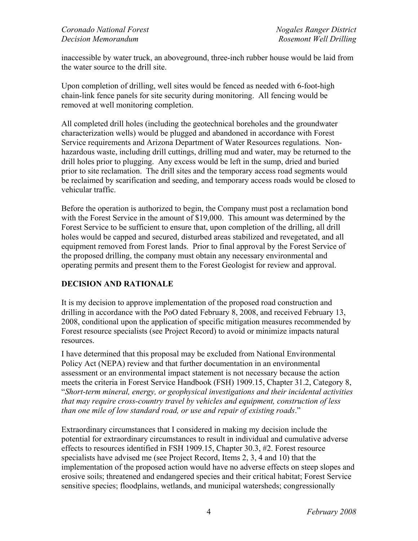inaccessible by water truck, an aboveground, three-inch rubber house would be laid from the water source to the drill site.

Upon completion of drilling, well sites would be fenced as needed with 6-foot-high chain-link fence panels for site security during monitoring. All fencing would be removed at well monitoring completion.

All completed drill holes (including the geotechnical boreholes and the groundwater characterization wells) would be plugged and abandoned in accordance with Forest Service requirements and Arizona Department of Water Resources regulations. Nonhazardous waste, including drill cuttings, drilling mud and water, may be returned to the drill holes prior to plugging. Any excess would be left in the sump, dried and buried prior to site reclamation. The drill sites and the temporary access road segments would be reclaimed by scarification and seeding, and temporary access roads would be closed to vehicular traffic.

Before the operation is authorized to begin, the Company must post a reclamation bond with the Forest Service in the amount of \$19,000. This amount was determined by the Forest Service to be sufficient to ensure that, upon completion of the drilling, all drill holes would be capped and secured, disturbed areas stabilized and revegetated, and all equipment removed from Forest lands. Prior to final approval by the Forest Service of the proposed drilling, the company must obtain any necessary environmental and operating permits and present them to the Forest Geologist for review and approval.

## **DECISION AND RATIONALE**

It is my decision to approve implementation of the proposed road construction and drilling in accordance with the PoO dated February 8, 2008, and received February 13, 2008, conditional upon the application of specific mitigation measures recommended by Forest resource specialists (see Project Record) to avoid or minimize impacts natural resources.

I have determined that this proposal may be excluded from National Environmental Policy Act (NEPA) review and that further documentation in an environmental assessment or an environmental impact statement is not necessary because the action meets the criteria in Forest Service Handbook (FSH) 1909.15, Chapter 31.2, Category 8, "*Short-term mineral, energy, or geophysical investigations and their incidental activities that may require cross-country travel by vehicles and equipment, construction of less than one mile of low standard road, or use and repair of existing roads*."

Extraordinary circumstances that I considered in making my decision include the potential for extraordinary circumstances to result in individual and cumulative adverse effects to resources identified in FSH 1909.15, Chapter 30.3, #2. Forest resource specialists have advised me (see Project Record, Items 2, 3, 4 and 10) that the implementation of the proposed action would have no adverse effects on steep slopes and erosive soils; threatened and endangered species and their critical habitat; Forest Service sensitive species; floodplains, wetlands, and municipal watersheds; congressionally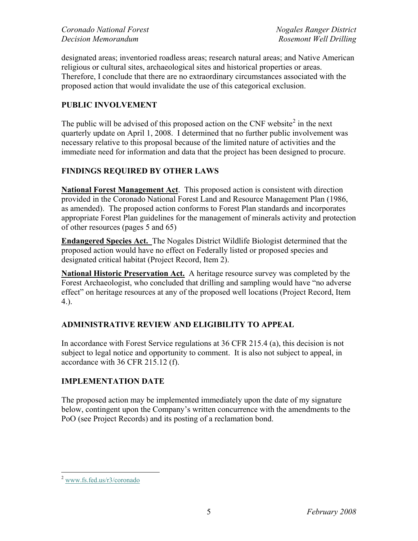designated areas; inventoried roadless areas; research natural areas; and Native American religious or cultural sites, archaeological sites and historical properties or areas. Therefore, I conclude that there are no extraordinary circumstances associated with the proposed action that would invalidate the use of this categorical exclusion.

## **PUBLIC INVOLVEMENT**

The public will be advised of this proposed action on the CNF website $2$  in the next quarterly update on April 1, 2008. I determined that no further public involvement was necessary relative to this proposal because of the limited nature of activities and the immediate need for information and data that the project has been designed to procure.

## **FINDINGS REQUIRED BY OTHER LAWS**

**National Forest Management Act**. This proposed action is consistent with direction provided in the Coronado National Forest Land and Resource Management Plan (1986, as amended). The proposed action conforms to Forest Plan standards and incorporates appropriate Forest Plan guidelines for the management of minerals activity and protection of other resources (pages 5 and 65)

**Endangered Species Act.** The Nogales District Wildlife Biologist determined that the proposed action would have no effect on Federally listed or proposed species and designated critical habitat (Project Record, Item 2).

**National Historic Preservation Act.** A heritage resource survey was completed by the Forest Archaeologist, who concluded that drilling and sampling would have "no adverse effect" on heritage resources at any of the proposed well locations (Project Record, Item 4.).

## **ADMINISTRATIVE REVIEW AND ELIGIBILITY TO APPEAL**

In accordance with Forest Service regulations at 36 CFR 215.4 (a), this decision is not subject to legal notice and opportunity to comment. It is also not subject to appeal, in accordance with 36 CFR 215.12 (f).

## **IMPLEMENTATION DATE**

The proposed action may be implemented immediately upon the date of my signature below, contingent upon the Company's written concurrence with the amendments to the PoO (see Project Records) and its posting of a reclamation bond.

<span id="page-4-0"></span> $\overline{a}$ <sup>2</sup> www.fs.fed.us/r3/coronado